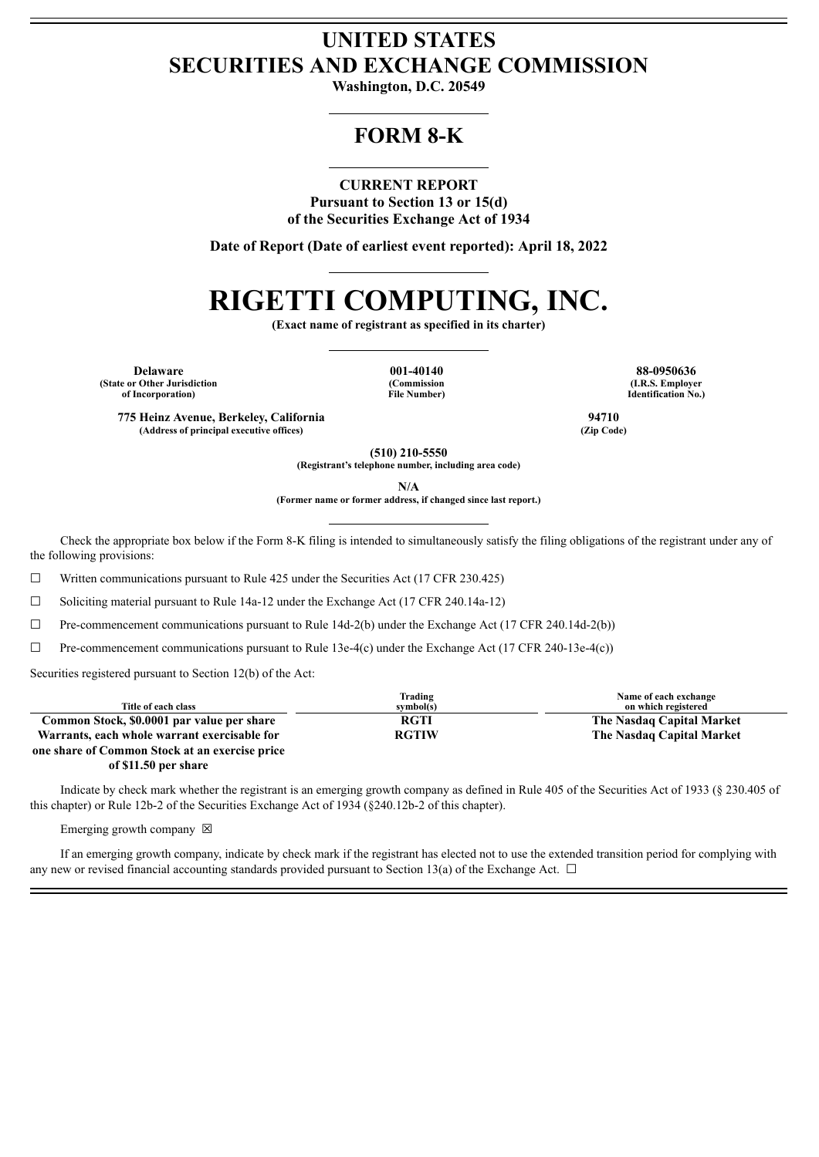# **UNITED STATES SECURITIES AND EXCHANGE COMMISSION**

**Washington, D.C. 20549**

# **FORM 8-K**

# **CURRENT REPORT**

**Pursuant to Section 13 or 15(d) of the Securities Exchange Act of 1934**

**Date of Report (Date of earliest event reported): April 18, 2022**

# **RIGETTI COMPUTING, INC.**

**(Exact name of registrant as specified in its charter)**

**Delaware 001-40140 88-0950636 (State or Other Jurisdiction of Incorporation)**

**(Commission File Number)**

**(I.R.S. Employer Identification No.)**

**775 Heinz Avenue, Berkeley, California 94710 (Address of principal executive offices) (Zip Code)**

**(510) 210-5550**

**(Registrant's telephone number, including area code)**

**N/A**

**(Former name or former address, if changed since last report.)**

Check the appropriate box below if the Form 8-K filing is intended to simultaneously satisfy the filing obligations of the registrant under any of the following provisions:

☐ Written communications pursuant to Rule 425 under the Securities Act (17 CFR 230.425)

 $\Box$  Soliciting material pursuant to Rule 14a-12 under the Exchange Act (17 CFR 240.14a-12)

 $\Box$  Pre-commencement communications pursuant to Rule 14d-2(b) under the Exchange Act (17 CFR 240.14d-2(b))

 $\Box$  Pre-commencement communications pursuant to Rule 13e-4(c) under the Exchange Act (17 CFR 240-13e-4(c))

Securities registered pursuant to Section 12(b) of the Act:

| Title of each class                            | Trading<br>symbol(s) | Name of each exchange<br>on which registered |
|------------------------------------------------|----------------------|----------------------------------------------|
| Common Stock, \$0.0001 par value per share     | <b>RGTI</b>          | The Nasdaq Capital Market                    |
| Warrants, each whole warrant exercisable for   | <b>RGTIW</b>         | The Nasdag Capital Market                    |
| one share of Common Stock at an exercise price |                      |                                              |

**of \$11.50 per share**

Indicate by check mark whether the registrant is an emerging growth company as defined in Rule 405 of the Securities Act of 1933 (§ 230.405 of this chapter) or Rule 12b-2 of the Securities Exchange Act of 1934 (§240.12b-2 of this chapter).

Emerging growth company  $\boxtimes$ 

If an emerging growth company, indicate by check mark if the registrant has elected not to use the extended transition period for complying with any new or revised financial accounting standards provided pursuant to Section 13(a) of the Exchange Act.  $\Box$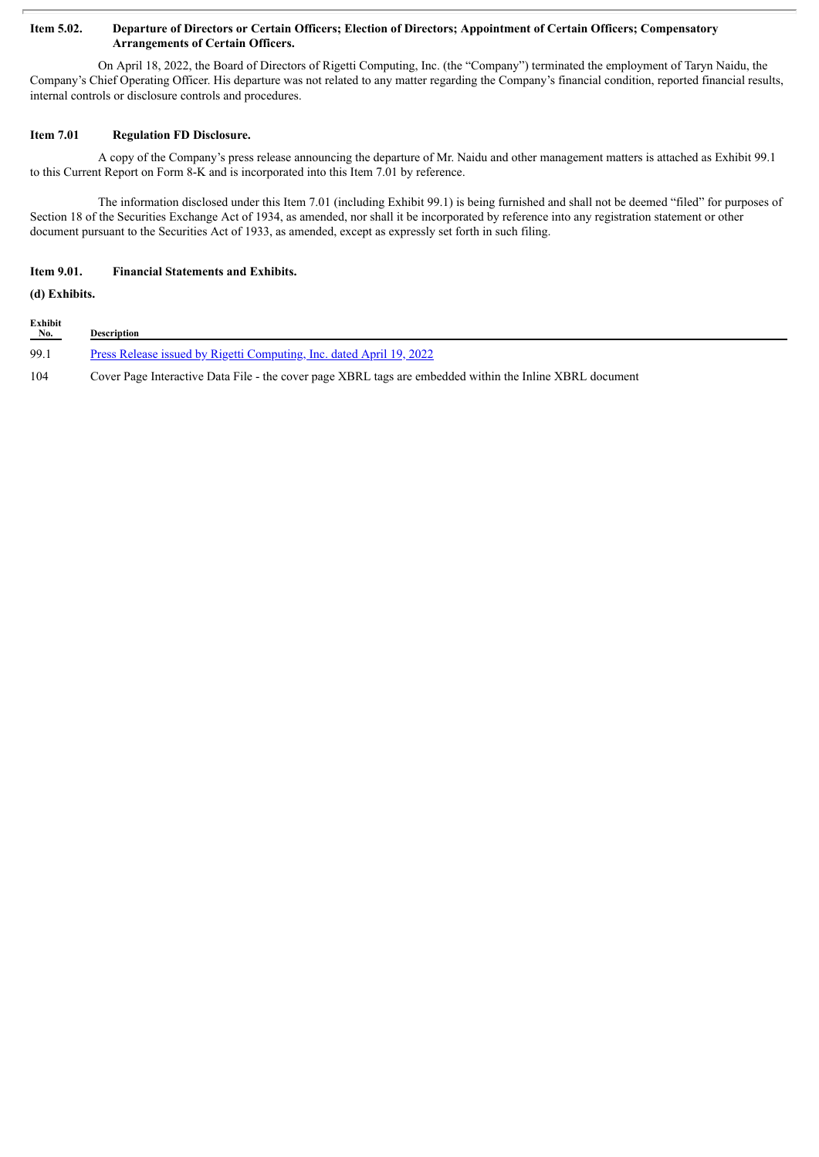#### Item 5.02. Departure of Directors or Certain Officers; Election of Directors; Appointment of Certain Officers; Compensatory **Arrangements of Certain Officers.**

On April 18, 2022, the Board of Directors of Rigetti Computing, Inc. (the "Company") terminated the employment of Taryn Naidu, the Company's Chief Operating Officer. His departure was not related to any matter regarding the Company's financial condition, reported financial results, internal controls or disclosure controls and procedures.

### **Item 7.01 Regulation FD Disclosure.**

A copy of the Company's press release announcing the departure of Mr. Naidu and other management matters is attached as Exhibit 99.1 to this Current Report on Form 8-K and is incorporated into this Item 7.01 by reference.

The information disclosed under this Item 7.01 (including Exhibit 99.1) is being furnished and shall not be deemed "filed" for purposes of Section 18 of the Securities Exchange Act of 1934, as amended, nor shall it be incorporated by reference into any registration statement or other document pursuant to the Securities Act of 1933, as amended, except as expressly set forth in such filing.

## **Item 9.01. Financial Statements and Exhibits.**

**(d) Exhibits.**

| Exhibit<br>No. | <b>Description</b>                                                                                       |
|----------------|----------------------------------------------------------------------------------------------------------|
| 99.1           | <u>Press Release issued by Rigetti Computing, Inc. dated April 19, 2022</u>                              |
| 104            | Cover Page Interactive Data File - the cover page XBRL tags are embedded within the Inline XBRL document |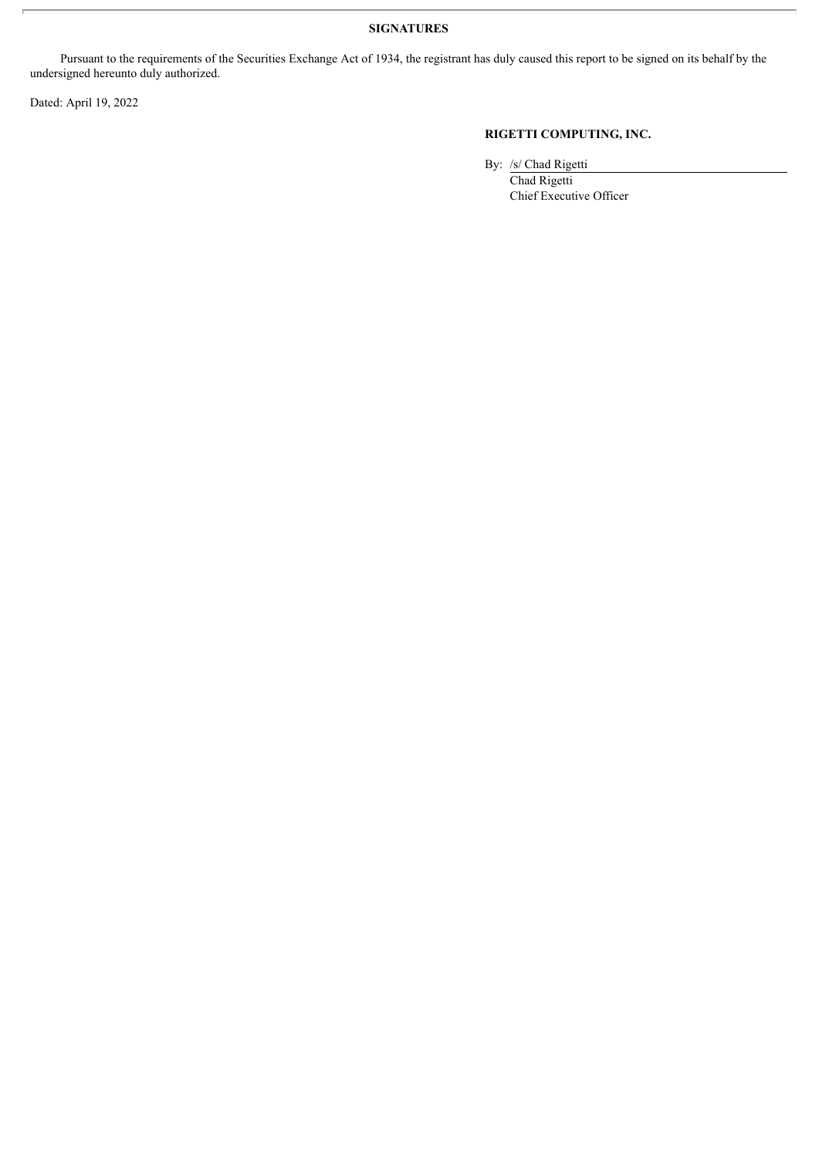## **SIGNATURES**

Pursuant to the requirements of the Securities Exchange Act of 1934, the registrant has duly caused this report to be signed on its behalf by the undersigned hereunto duly authorized.

Dated: April 19, 2022

# **RIGETTI COMPUTING, INC.**

By: /s/ Chad Rigetti

Chad Rigetti Chief Executive Officer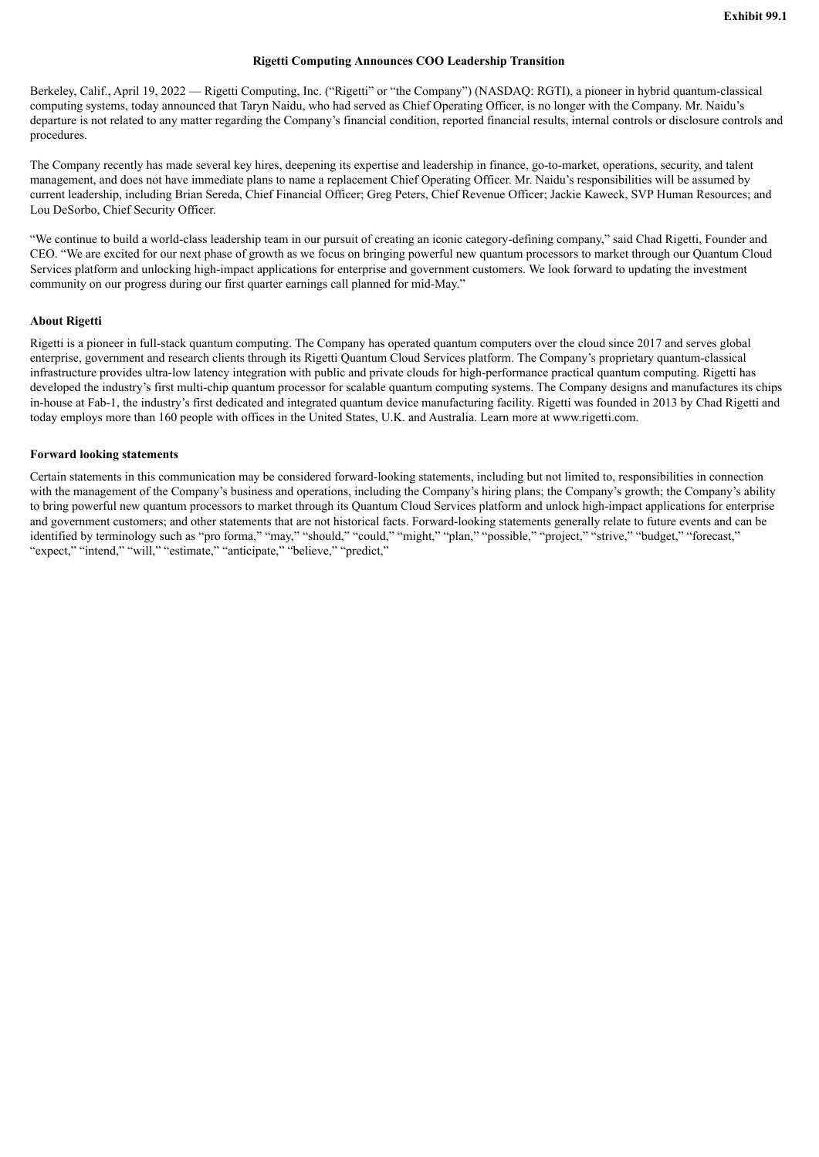#### **Rigetti Computing Announces COO Leadership Transition**

<span id="page-3-0"></span>Berkeley, Calif., April 19, 2022 — Rigetti Computing, Inc. ("Rigetti" or "the Company") (NASDAQ: RGTI), a pioneer in hybrid quantum-classical computing systems, today announced that Taryn Naidu, who had served as Chief Operating Officer, is no longer with the Company. Mr. Naidu's departure is not related to any matter regarding the Company's financial condition, reported financial results, internal controls or disclosure controls and procedures.

The Company recently has made several key hires, deepening its expertise and leadership in finance, go-to-market, operations, security, and talent management, and does not have immediate plans to name a replacement Chief Operating Officer. Mr. Naidu's responsibilities will be assumed by current leadership, including Brian Sereda, Chief Financial Officer; Greg Peters, Chief Revenue Officer; Jackie Kaweck, SVP Human Resources; and Lou DeSorbo, Chief Security Officer.

"We continue to build a world-class leadership team in our pursuit of creating an iconic category-defining company," said Chad Rigetti, Founder and CEO. "We are excited for our next phase of growth as we focus on bringing powerful new quantum processors to market through our Quantum Cloud Services platform and unlocking high-impact applications for enterprise and government customers. We look forward to updating the investment community on our progress during our first quarter earnings call planned for mid-May."

### **About Rigetti**

Rigetti is a pioneer in full-stack quantum computing. The Company has operated quantum computers over the cloud since 2017 and serves global enterprise, government and research clients through its Rigetti Quantum Cloud Services platform. The Company's proprietary quantum-classical infrastructure provides ultra-low latency integration with public and private clouds for high-performance practical quantum computing. Rigetti has developed the industry's first multi-chip quantum processor for scalable quantum computing systems. The Company designs and manufactures its chips in-house at Fab-1, the industry's first dedicated and integrated quantum device manufacturing facility. Rigetti was founded in 2013 by Chad Rigetti and today employs more than 160 people with offices in the United States, U.K. and Australia. Learn more at www.rigetti.com.

#### **Forward looking statements**

Certain statements in this communication may be considered forward-looking statements, including but not limited to, responsibilities in connection with the management of the Company's business and operations, including the Company's hiring plans; the Company's growth; the Company's ability to bring powerful new quantum processors to market through its Quantum Cloud Services platform and unlock high-impact applications for enterprise and government customers; and other statements that are not historical facts. Forward-looking statements generally relate to future events and can be identified by terminology such as "pro forma," "may," "should," "could," "might," "plan," "possible," "project," "strive," "budget," "forecast," "expect," "intend," "will," "estimate," "anticipate," "believe," "predict,"